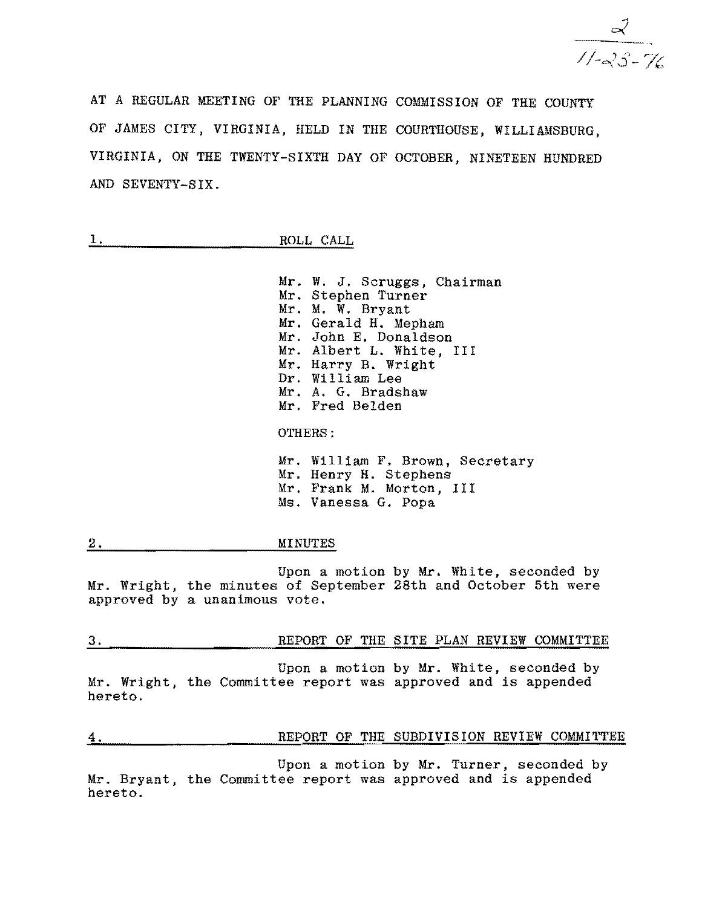$\frac{2}{11-23-76}$ 

AT A REGULAR MEETING OF THE PLANNING COMMISSION OF THE COUNTY OF JAMES CITY, VIRGINIA, HELD IN THE COURTHOUSE, WILLIAMSBURG, VIRGINIA, ON THE TWENTY-SIXTH DAY OF OCTOBER, NINETEEN HUNDRED AND SEVENTY-SIX.

| L 4 | ROLL CALL |  |
|-----|-----------|--|

Mr. W. J. Scruggs, Chairman Mr. Stephen Turner Mr. M. W. Bryant Mr. Gerald H. Mepham Mr. John E. Donaldson Mr. Albert L. White, III Mr. Harry B. Wright Dr. William Lee Mr. A. G. Bradshaw Mr. Fred Belden

OTHERS:

Mr. William F. Brown, Secretary Mr. Henry H. Stephens Mr. Frank M. Morton, III Ms. Vanessa G. Popa

2. MINUTES

Upon a motion by Mr. White, seconded by Mr. Wright, the minutes of September 28th and October 5th were approved by a unanimous vote.

| J. |  |  |  | REPORT OF THE SITE PLAN REVIEW COMMITTEE |
|----|--|--|--|------------------------------------------|
|    |  |  |  |                                          |

Upon a motion by Mr. White, seconded by Mr. Wright, the Committee report was approved and is appended hereto.

| 4.      |  | REPORT OF THE SUBDIVISION REVIEW COMMITTEE |  |
|---------|--|--------------------------------------------|--|
| ------- |  |                                            |  |

Upon a motion by Mr. Turner, seconded by Mr. Bryant, the Committee report was approved and is appended hereto.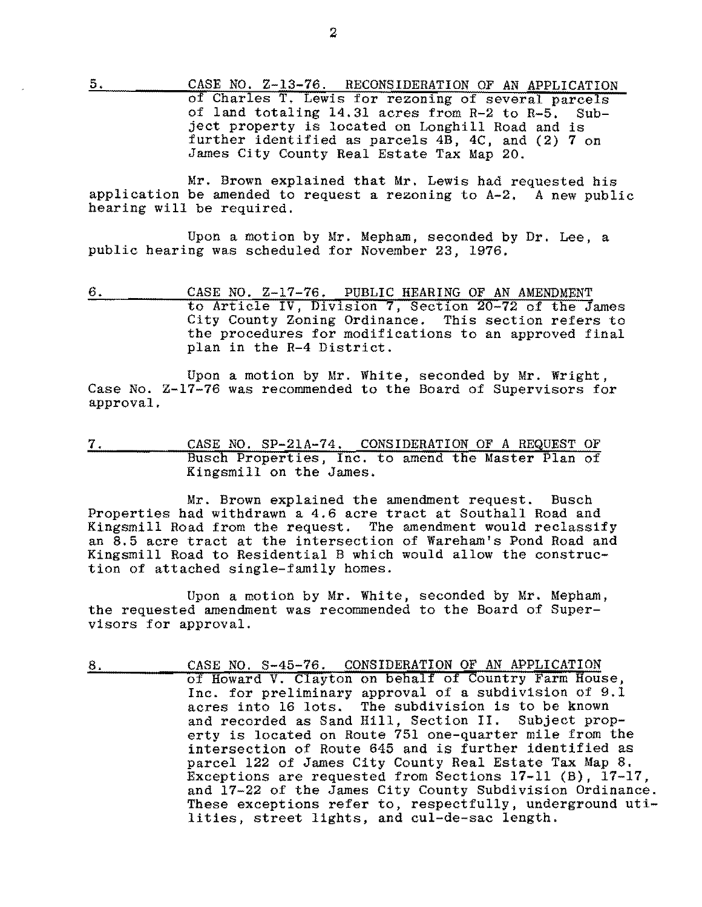5. CASE NO. Z-13-76. RECONSIDERATION OF AN APPLICATION of Charles T. Lewis for rezoning of several parcels of land totaling 14.31 acres from R-2 to R-5. Subject property is located on Longhill Road and is further identified as parcels 4B, 4C, and (2) 7 on James City County Real Estate Tax Map 20.

Mr. Brown explained that Mr. Lewis had requested his application be amended to request a rezoning to A-2. A new public hearing will be required.

Upon a motion by Mr. Mepham, seconded by Dr. Lee, a public hearing was scheduled for November 23, 1976.

6. CASE NO. Z-17-76. PUBLIC HEARING OF AN AMENDMENT to Article IV, Division 7, Section 20-72 of the James City County Zoning Ordinance. This section refers to the procedures for modifications to an approved final plan in the R-4 District.

Upon a motion by Mr. White, seconded by Mr. Wright, Case No. Z-17-76 was recommended to the Board of Supervisors for approval.

7. CASE NO. SP-21A-74. CONSIDERATION OF A REQUEST OF Busch Properties, Inc. to amend the Master Plan of Kingsmill on the James.

Mr. Brown explained the amendment request. Busch Properties had withdrawn a 4.6 acre tract at Southall Road and Kingsmill Road from the request. The amendment would reclassify an 8.5 acre tract at the intersection of Wareham's Pond Road and Kingsmill Road to Residential B which would allow the construction of attached single-family homes.

Upon a motion by Mr. White, seconded by Mr. Mepham, the requested amendment was recommended to the Board of Supervisors for approval.

8. CASE NO. S-45-76. CONSIDERATION OF AN APPLICATION of Howard V. Clayton on behalf of Country Farm House, Inc. for preliminary approval of a subdivision of 9.1 acres into 16 lots. The subdivision is to be known and recorded as Sand Hill, Section II. Subject property is located on Route 751 one-quarter mile from the intersection of Route 645 and is further identified as parcel 122 of James City County Real Estate Tax Map 8. Exceptions are requested from Sections 17-11 (B), 17-17, and 17-22 of the James City County Subdivision Ordinance. These exceptions refer to, respectfully, underground utilities, street lights, and cul-de-sac length.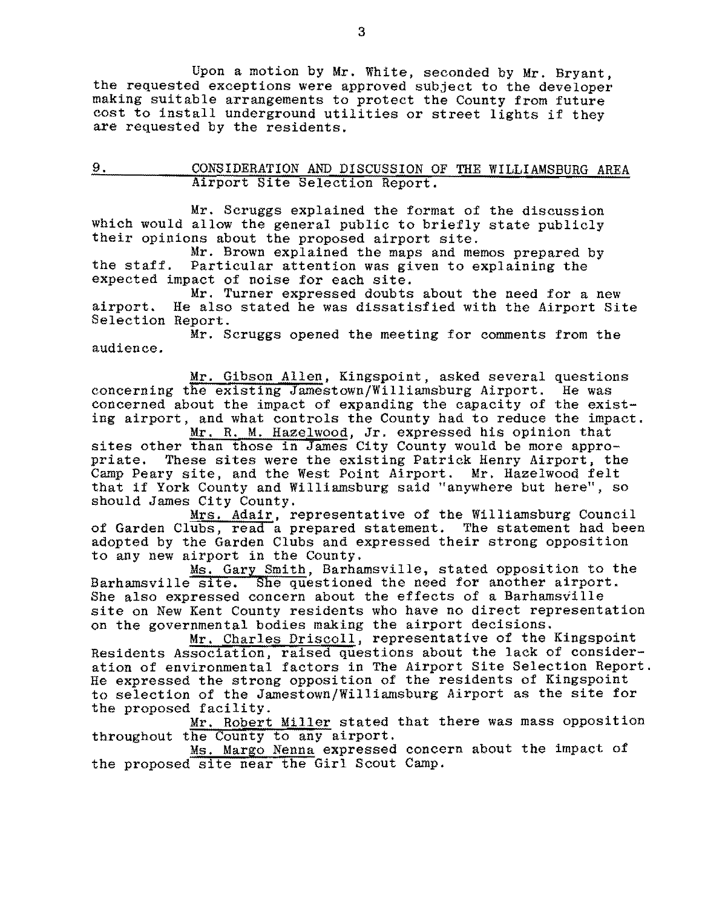Upon a motion by Mr. White, seconded by Mr. Bryant, the requested exceptions were approved subject to the developer making suitable arrangements to protect the County from future cost to install underground utilities or street lights if they are requested by the residents.

# 9. CONSIDERATION AND DISCUSSION OF THE WILLIAMSBURG AREA Airport Site Selection Report.

Mr. Scruggs explained the format of the discussion which would allow the general public to briefly state publicly their opinions about the proposed airport site.<br>Mr. Brown explained the maps and memos prepared by

the staff. Particular attention was given to explaining the expected impact of noise for each site.

Mr. Turner expressed doubts about the need for a new airport. He also stated he was dissatisfied with the Airport Site Selection Report.

Mr. Scruggs opened the meeting for comments from the audience.

<u>Mr. Gibson Allen</u>, Kingspoint, asked several questions<br>he existing Jamestown/Williamsburg Airport. He was concerning the existing Jamestown/Williamsburg Airport. concerned about the impact of expanding the capacity of the existing airport, and what controls the County had to reduce the impact.

Mr. R. M. Hazelwood, Jr. expressed his opinion that sites other than those in James City County would be more appropriate. These sites were the existing Patrick Henry Airport, the Camp Peary site, and the West Point Airport. Mr. Hazelwood felt that if York County and Williamsburg said "anywhere but here", so should James City County.

Mrs. Adair, representative of the Williamsburg Council of Garden Clubs, read a prepared statement. The statement had been adopted by the Garden Clubs and expressed their strong opposition to any new airport in the County.

Ms. Gary Smith, Barhamsville, stated opposition to the Barhamsville site. She questioned the need for another airport. She also expressed concern about the effects of a Barhamsville site on New Kent County residents who have no direct representation on the governmental bodies making the airport decisions.

Mr. Charles Driscoll, representative of the Kingspoint Residents Association, raised questions about the lack of consideration of environmental factors in The Airport Site Selection Report. He expressed the strong opposition of the residents of Kingspoint to selection of the Jamestown/Williamsburg Airport as the site for the proposed facility.

Mr. Robert Miller stated that there was mass opposition

throughout the County to any airport. Ms. Margo Nenna expressed concern about the impact of the proposed site near the Girl Scout Camp.

3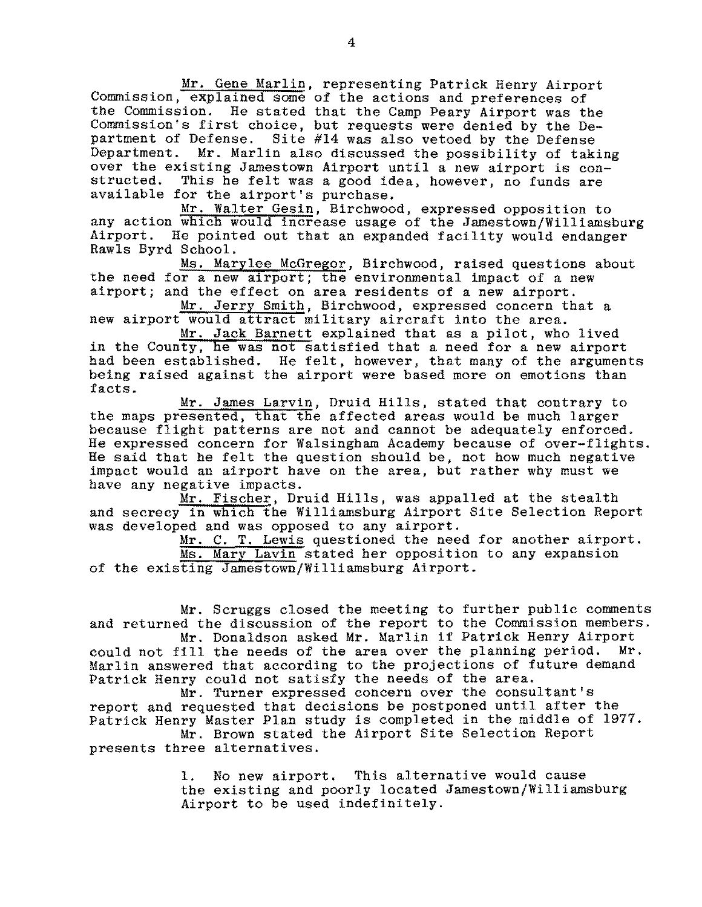Mr. Gene Marlin, representing Patrick Henry Airport Commission, explained some of the actions and preferences of the Commission. He stated that the Camp Peary Airport was the Commission's first choice, but requests were denied by the Department of Defense. Site #14 was also vetoed by the Defense Department. Mr. Marlin also discussed the possibility of taking over the existing Jamestown Airport until a new airport is con-<br>structed. This he felt was a good idea, however, no funds are This he felt was a good idea, however, no funds are available for the airport's purchase.

Mr. Walter Gesin, Birchwood, expressed opposition to any action which would increase usage of the Jamestown/Williamsburg Airport. He pointed out that an expanded facility would endanger Rawls Byrd School.

Ms. Marylee McGregor, Birchwood, raised questions about the need for a new airport; the environmental impact of a new airport; and the effect on area residents of a new airport.

Mr. Jerry Smith, Birchwood, expressed concern that a new airport would attract military aircraft into the area.

Mr. Jack Barnett explained that as a pilot, who lived in the County, he was not satisfied that a need for a new airport had been established. He felt, however, that many of the arguments being raised against the airport were based more on emotions than facts.

Mr. James Larvin, Druid Hills, stated that contrary to the maps presented, that the affected areas would be much larger because flight patterns are not and cannot be adequately enforced. He expressed concern for Walsingham Academy because of over-flights.<br>He said that he felt the question should be, not how much negative impact would an airport have on the area, but rather why must we have any negative impacts.

Mr. Fischer, Druid Hills, was appalled at the stealth and secrecy in which the Williamsburg Airport Site Selection Report was developed and was opposed to any airport.

Mr. C. T. Lewis questioned the need for another airport. Ms. Mary Lavin stated her opposition to any expansion of the existing Jamestown/Williamsburg Airport.

Mr. Scruggs closed the meeting to further public comments and returned the discussion of the report to the Commission members.

Mr. Donaldson asked Mr. Marlin if Patrick Henry Airport could not fill the needs of the area over the planning period. Mr. Marlin answered that according to the projections of future demand Patrick Henry could not satisfy the needs of the area.

Mr. Turner expressed concern over the consultant's report and requested that decisions be postponed until after the Patrick Henry Master Plan study is completed in the middle of 1977.

Mr. Brown stated the Airport Site Selection Report presents three alternatives.

> 1. No new airport. This alternative would cause the existing and poorly located Jamestown/Williamsburg Airport to be used indefinitely.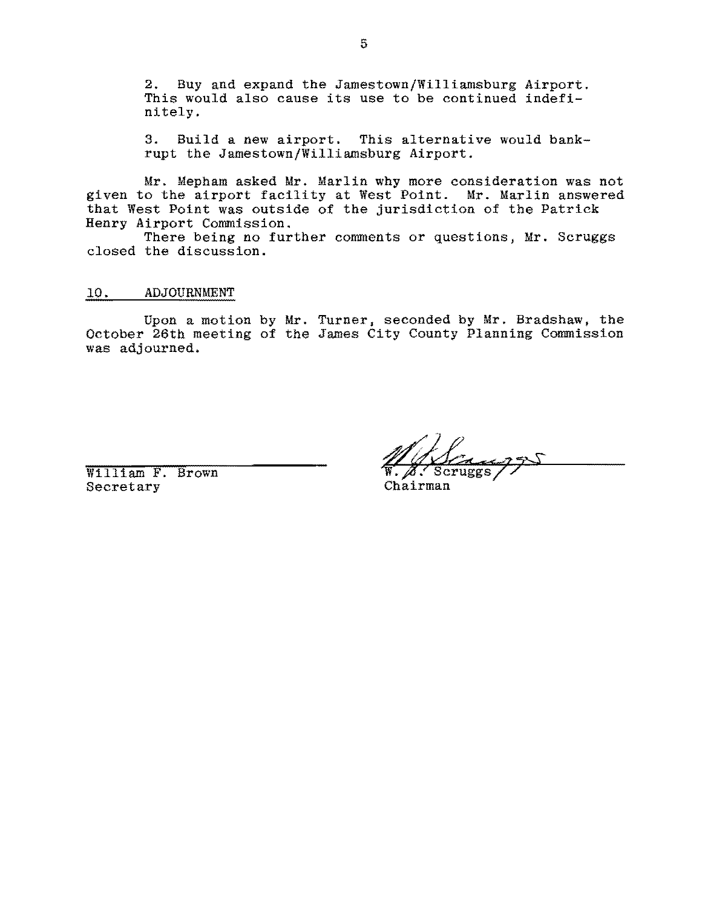2. Buy and expand the Jamestown/Williamsburg Airport. This would also cause its use to be continued indefinitely.

3. Build a new airport. This alternative would bankrupt the Jamestown/Williamsburg Airport.

Mr. Mepham asked Mr. Marlin why more consideration was not given to the airport facility at West Point. Mr. Marlin answered that West Point was outside of the jurisdiction of the Patrick Henry Airport Commission.

There being no further comments or questions, Mr. Scruggs closed the discussion.

10. ADJOURNMENT

Upon a motion by Mr. Turner, seconded by Mr. Bradshaw, the October 26th meeting of the James City County Planning Commission was adjourned.

 $W. 2.8$  Secretary  $W. 2.8$  Secretary  $\alpha$ Secretary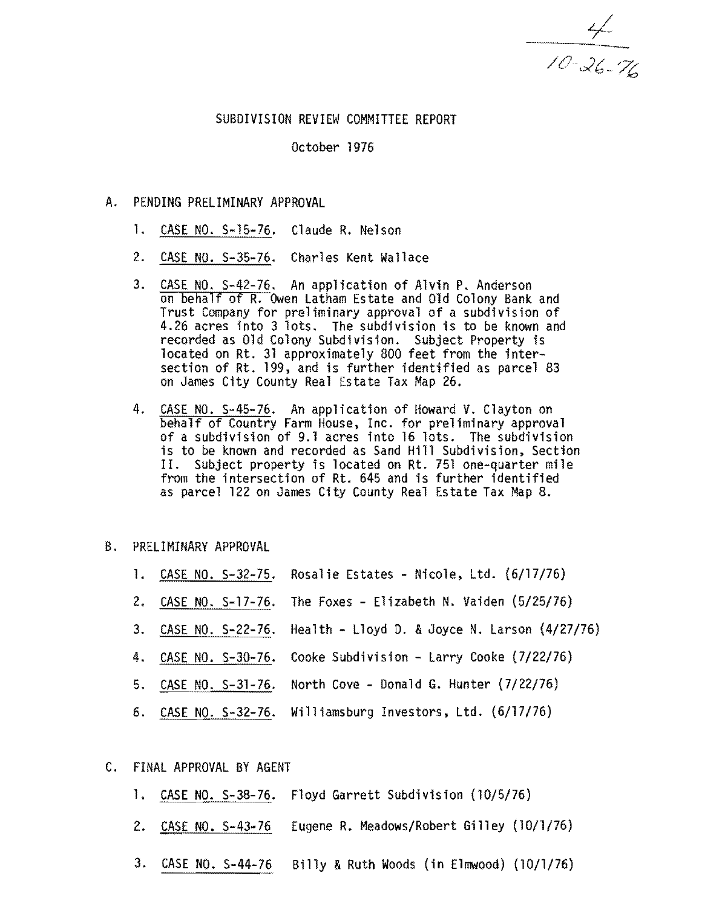$\frac{4}{10 - 26 - 76}$ 

#### SUBDIVISION REVIEW COMMITTEE REPORT

October 1976

- A. PENDING PRELIMINARY APPROVAL
	- 1. CASE NO. S-15-76. Claude R. Nelson
	- 2. CASE NO. *5-35-76.* Charles Kent Wallace
	- 3. CASE NO. S-42-76. An application of Alvin P. Anderson on behalf of R. Owen Latham Estate and Old Colony Bank and Trust Company for preliminary approval of a subdivision of 4.26 acres into 3 lots. The subdivision is to be known and recorded as Old Colony Subdivision. Subject Property is located on Rt. 31 approximately 800 feet from the intersection of Rt. 199. and is further identified as parcel 83 on James City County Real Estate Tax Map 26.
	- 4. CASE NO. S-45-76. An application of Howard V. Clayton on behalf of Country Farm House, Inc. for preliminary approval<br>of a subdivision of 9.1 acres into 16 lots. The subdivision is to be known and recorded as Sand Hill Subdivision. Section II. Subject property is located on Rt. 751 one-quarter mile from the intersection of Rt. 645 and is further identified as parcel 122 on James City County Real Estate Tax Map 8.

#### B. PRELIMINARY APPROVAL

- 1. CASE NO. 5-32-75. Rosalie Estates Nicole. Ltd. (6/17/76)
- 2. CASE NO. S-17-76. The Foxes Elizabeth N. Vaiden (5/25/76)
- 3. CASE NO. 5-22-76. Health Lloyd D. &Joyce N. Larson (4/27/76)
- 4. CASE NO. 5-30-76. Cooke Subdivision Larry Cooke (7/22/76)
- 5. CASE NO. S-31-76. North Cove Donald G. Hunter (7/22/76)
- 6. CASE NO. 5-32-76. Williamsburg Investors. Ltd. (6/17/76)
- C. FINAL APPROVAL BY AGENT
	- 1. CASE NO. S-38-76. Floyd Garrett Subdivision (10/5/76)
	- 2. CASE NO. S-43-76 Eugene R. Meadows/Robert Gilley (10/1/76)
	- 3. CASE NO. S-44-76 Billy & Ruth Woods (in Elmwood) (10/1/76)